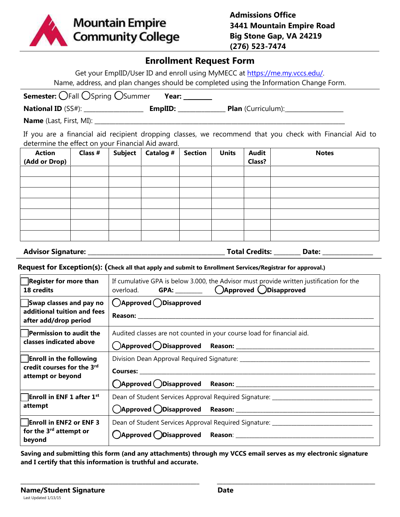

# **Enrollment Request Form**

Get your EmplID/User ID and enroll using MyMECC at https://me.my.vccs.edu/. Name, address, and plan changes should be completed using the Information Change Form.

| <b>Semester:</b> OFall OSpring OSummer | Year:   |                           |
|----------------------------------------|---------|---------------------------|
| <b>National ID</b> (SS#):              | EmplID: | <b>Plan</b> (Curriculum): |
| <b>Name</b> (Last, First, MI):         |         |                           |

If you are a financial aid recipient dropping classes, we recommend that you check with Financial Aid to determine the effect on your Financial Aid award.

| <b>Action</b> | Class # | <b>Subject</b> | Catalog # | <b>Section</b> | <b>Units</b> | <b>Audit</b> | <b>Notes</b> |
|---------------|---------|----------------|-----------|----------------|--------------|--------------|--------------|
| (Add or Drop) |         |                |           |                |              | Class?       |              |
|               |         |                |           |                |              |              |              |
|               |         |                |           |                |              |              |              |
|               |         |                |           |                |              |              |              |
|               |         |                |           |                |              |              |              |
|               |         |                |           |                |              |              |              |
|               |         |                |           |                |              |              |              |
|               |         |                |           |                |              |              |              |

**Advisor Signature: \_\_\_\_\_\_\_\_\_\_\_\_\_\_\_\_\_\_\_\_\_\_\_\_\_\_\_\_\_\_\_\_\_\_\_\_\_\_\_\_\_\_\_\_\_\_ Total Credits: \_\_\_\_\_\_\_\_\_ Date: \_\_\_\_\_\_\_\_\_\_\_\_\_\_\_\_\_**

**Request for Exception(s): (Check all that apply and submit to Enrollment Services/Registrar for approval.)**

| <b>Register for more than</b><br>18 credits                                       | If cumulative GPA is below 3.000, the Advisor must provide written justification for the<br>overload. GPA: __________ ()Approved ()Disapproved |  |  |  |  |
|-----------------------------------------------------------------------------------|------------------------------------------------------------------------------------------------------------------------------------------------|--|--|--|--|
| Swap classes and pay no<br>additional tuition and fees<br>after add/drop period   | ()Approved ()Disapproved                                                                                                                       |  |  |  |  |
| $\vert$ Permission to audit the                                                   | Audited classes are not counted in your course load for financial aid.                                                                         |  |  |  |  |
| classes indicated above                                                           |                                                                                                                                                |  |  |  |  |
| <b>Enroll in the following</b><br>credit courses for the 3rd<br>attempt or beyond |                                                                                                                                                |  |  |  |  |
|                                                                                   |                                                                                                                                                |  |  |  |  |
|                                                                                   |                                                                                                                                                |  |  |  |  |
| <b>Enroll in ENF 1 after 1st</b><br>attempt                                       | Dean of Student Services Approval Required Signature: ___________________________                                                              |  |  |  |  |
|                                                                                   |                                                                                                                                                |  |  |  |  |
| <b>Enroll in ENF2 or ENF3</b>                                                     | Dean of Student Services Approval Required Signature: ___________________________                                                              |  |  |  |  |
| for the 3 <sup>rd</sup> attempt or<br>beyond                                      |                                                                                                                                                |  |  |  |  |

**Saving and submitting this form (and any attachments) through my VCCS email serves as my electronic signature and I certify that this information is truthful and accurate.**

\_\_\_\_\_\_\_\_\_\_\_\_\_\_\_\_\_\_\_\_\_\_\_\_\_\_\_\_\_\_\_\_\_\_\_\_\_\_\_\_\_\_\_\_\_\_\_\_\_\_\_\_\_\_\_\_\_\_\_\_ \_\_\_\_\_\_\_\_\_\_\_\_\_\_\_\_\_\_\_\_\_\_\_\_\_\_\_\_\_\_\_\_\_\_\_\_\_\_\_\_\_\_\_\_\_\_\_\_\_\_\_\_\_